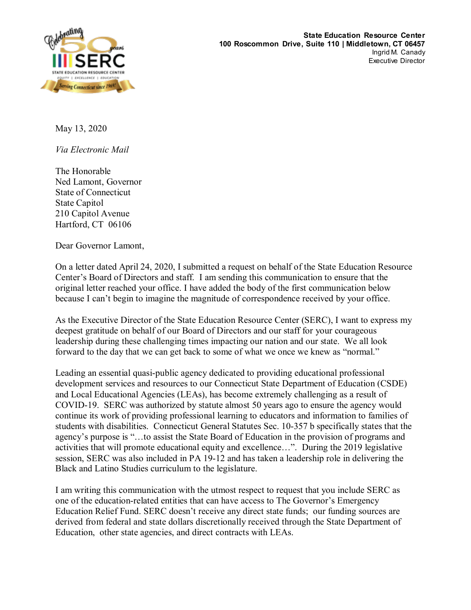

May 13, 2020

*Via Electronic Mail*

The Honorable Ned Lamont, Governor State of Connecticut State Capitol 210 Capitol Avenue Hartford, CT 06106

Dear Governor Lamont,

On a letter dated April 24, 2020, I submitted a request on behalf of the State Education Resource Center's Board of Directors and staff. I am sending this communication to ensure that the original letter reached your office. I have added the body of the first communication below because I can't begin to imagine the magnitude of correspondence received by your office.

As the Executive Director of the State Education Resource Center (SERC), I want to express my deepest gratitude on behalf of our Board of Directors and our staff for your courageous leadership during these challenging times impacting our nation and our state. We all look forward to the day that we can get back to some of what we once we knew as "normal."

Leading an essential quasi-public agency dedicated to providing educational professional development services and resources to our Connecticut State Department of Education (CSDE) and Local Educational Agencies (LEAs), has become extremely challenging as a result of COVID-19. SERC was authorized by statute almost 50 years ago to ensure the agency would continue its work of providing professional learning to educators and information to families of students with disabilities. Connecticut General Statutes Sec. 10-357 b specifically states that the agency's purpose is "…to assist the State Board of Education in the provision of programs and activities that will promote educational equity and excellence…". During the 2019 legislative session, SERC was also included in PA 19-12 and has taken a leadership role in delivering the Black and Latino Studies curriculum to the legislature.

I am writing this communication with the utmost respect to request that you include SERC as one of the education-related entities that can have access to The Governor's Emergency Education Relief Fund. SERC doesn't receive any direct state funds; our funding sources are derived from federal and state dollars discretionally received through the State Department of Education, other state agencies, and direct contracts with LEAs.